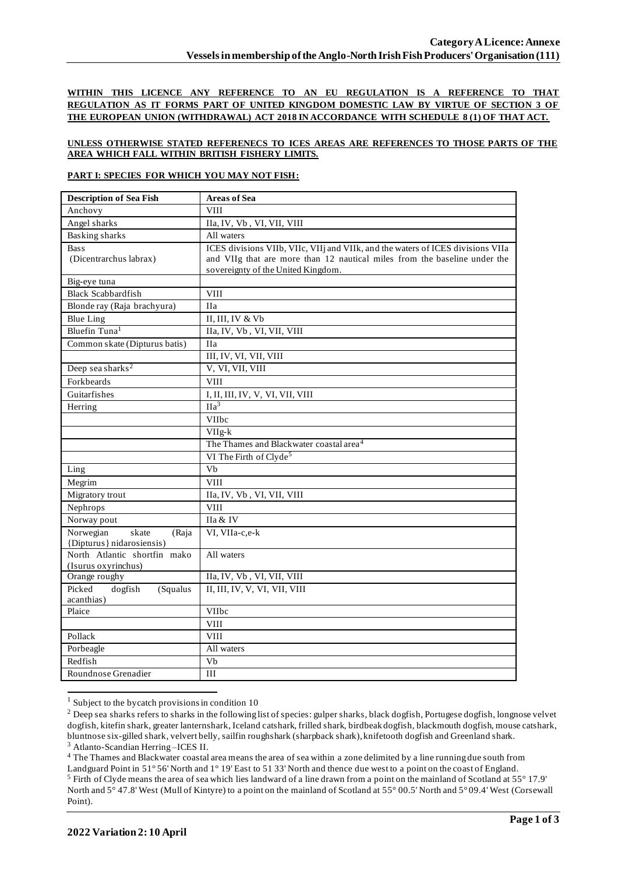**WITHIN THIS LICENCE ANY REFERENCE TO AN EU REGULATION IS A REFERENCE TO THAT REGULATION AS IT FORMS PART OF UNITED KINGDOM DOMESTIC LAW BY VIRTUE OF SECTION 3 OF THE EUROPEAN UNION (WITHDRAWAL) ACT 2018 IN ACCORDANCE WITH SCHEDULE 8 (1) OF THAT ACT.**

## **UNLESS OTHERWISE STATED REFERENECS TO ICES AREAS ARE REFERENCES TO THOSE PARTS OF THE AREA WHICH FALL WITHIN BRITISH FISHERY LIMITS.**

## **PART I: SPECIES FOR WHICH YOU MAY NOT FISH:**

| <b>Description of Sea Fish</b>              | <b>Areas of Sea</b>                                                             |
|---------------------------------------------|---------------------------------------------------------------------------------|
| Anchovy                                     | <b>VIII</b>                                                                     |
| Angel sharks                                | IIa, IV, Vb, VI, VII, VIII                                                      |
| <b>Basking sharks</b>                       | All waters                                                                      |
| <b>Bass</b>                                 | ICES divisions VIIb, VIIc, VIIj and VIIk, and the waters of ICES divisions VIIa |
| (Dicentrarchus labrax)                      | and VIIg that are more than 12 nautical miles from the baseline under the       |
|                                             | sovereignty of the United Kingdom.                                              |
| Big-eye tuna                                |                                                                                 |
| <b>Black Scabbardfish</b>                   | <b>VIII</b>                                                                     |
| Blonde ray (Raja brachyura)                 | <b>IIa</b>                                                                      |
| <b>Blue Ling</b>                            | II, III, IV & Vb                                                                |
| Bluefin Tuna <sup>1</sup>                   | IIa, IV, Vb, VI, VII, VIII                                                      |
| Common skate (Dipturus batis)               | <b>IIa</b>                                                                      |
|                                             | III, IV, VI, VII, VIII                                                          |
| Deep sea sharks <sup>2</sup>                | V, VI, VII, VIII                                                                |
| Forkbeards                                  | <b>VIII</b>                                                                     |
| Guitarfishes                                | I, II, III, IV, V, VI, VII, VIII                                                |
| Herring                                     | IIa <sup>3</sup>                                                                |
|                                             | VIIbc                                                                           |
|                                             | $VIIg-k$                                                                        |
|                                             | The Thames and Blackwater coastal area <sup>4</sup>                             |
|                                             | VI The Firth of Clyde <sup>5</sup>                                              |
| Ling                                        | Vb                                                                              |
| Megrim                                      | <b>VIII</b>                                                                     |
| Migratory trout                             | IIa, IV, Vb, VI, VII, VIII                                                      |
| Nephrops                                    | <b>VIII</b>                                                                     |
| Norway pout                                 | IIa & IV                                                                        |
| Norwegian<br>skate<br>(Raja                 | VI, VIIa-c,e-k                                                                  |
| {Dipturus} nidarosiensis)                   |                                                                                 |
| North Atlantic shortfin mako                | All waters                                                                      |
| (Isurus oxyrinchus)                         |                                                                                 |
| Orange roughy                               | IIa, IV, Vb, VI, VII, VIII                                                      |
| Picked<br>dogfish<br>(Squalus<br>acanthias) | II, III, IV, V, VI, VII, VIII                                                   |
| Plaice                                      | <b>VIIbc</b>                                                                    |
|                                             | <b>VIII</b>                                                                     |
| Pollack                                     | <b>VIII</b>                                                                     |
| Porbeagle                                   | All waters                                                                      |
| Redfish                                     | V <sub>b</sub>                                                                  |
| Roundnose Grenadier                         | III                                                                             |
|                                             |                                                                                 |

 $1$  Subject to the bycatch provisions in condition 10

<sup>4</sup> The Thames and Blackwater coastal area means the area of sea within a zone delimited by a line running due south from Landguard Point in 51° 56' North and 1° 19' East to 51 33' North and thence due west to a point on the coast of England.

<sup>&</sup>lt;sup>2</sup> Deep sea sharks refers to sharks in the following list of species: gulper sharks, black dogfish, Portugese dogfish, longnose velvet dogfish, kitefin shark, greater lanternshark, Iceland catshark, frilled shark, birdbeak dogfish, blackmouth dogfish, mouse catshark, bluntnose six-gilled shark, velvert belly, sailfin roughshark (sharpback shark), knifetooth dogfish and Greenland shark. <sup>3</sup> Atlanto-Scandian Herring –ICES II.

<sup>5</sup> Firth of Clyde means the area of sea which lies landward of a line drawn from a point on the mainland of Scotland at 55° 17.9' North and 5° 47.8' West (Mull of Kintyre) to a point on the mainland of Scotland at 55° 00.5' North and 5° 09.4' West (Corsewall Point).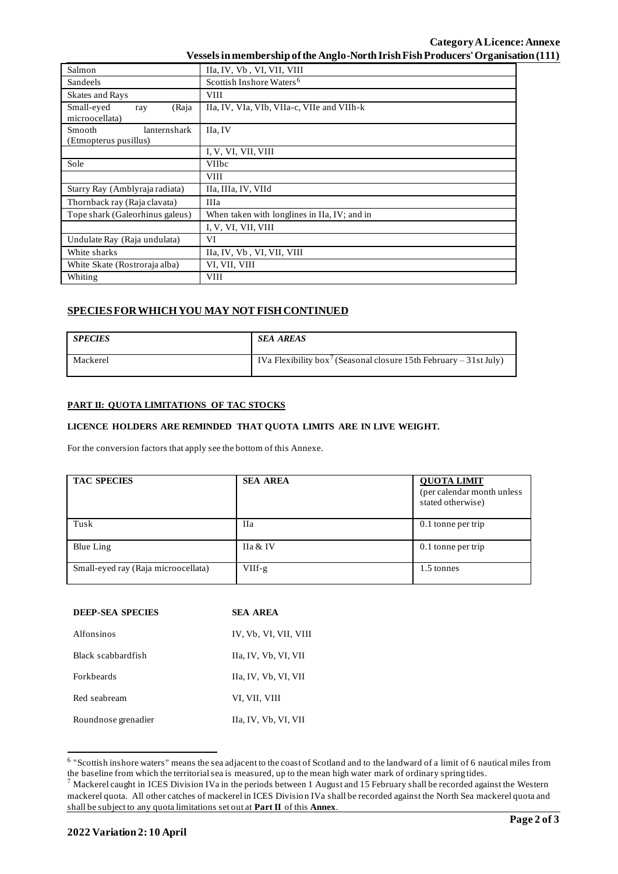| Salmon                                          | IIa, IV, Vb, VI, VII, VIII                   |  |  |  |  |  |
|-------------------------------------------------|----------------------------------------------|--|--|--|--|--|
| Sandeels                                        | Scottish Inshore Waters <sup>6</sup>         |  |  |  |  |  |
| Skates and Rays                                 | <b>VIII</b>                                  |  |  |  |  |  |
| Small-eyed<br>(Raja<br>ray<br>microocellata)    | IIa, IV, VIa, VIb, VIIa-c, VIIe and VIIh-k   |  |  |  |  |  |
| lanternshark<br>Smooth<br>(Etmopterus pusillus) | IIa, IV                                      |  |  |  |  |  |
|                                                 | I, V, VI, VII, VIII                          |  |  |  |  |  |
| Sole                                            | VIIbc                                        |  |  |  |  |  |
|                                                 | <b>VIII</b>                                  |  |  |  |  |  |
| Starry Ray (Amblyraja radiata)                  | IIa, IIIa, IV, VIId                          |  |  |  |  |  |
| Thornback ray (Raja clavata)                    | IIIa                                         |  |  |  |  |  |
| Tope shark (Galeorhinus galeus)                 | When taken with longlines in IIa, IV; and in |  |  |  |  |  |
|                                                 | I, V, VI, VII, VIII                          |  |  |  |  |  |
| Undulate Ray (Raja undulata)                    | VI                                           |  |  |  |  |  |
| White sharks                                    | IIa, IV, Vb, VI, VII, VIII                   |  |  |  |  |  |
| White Skate (Rostroraja alba)                   | VI, VII, VIII                                |  |  |  |  |  |
| Whiting                                         | <b>VIII</b>                                  |  |  |  |  |  |

# **SPECIES FOR WHICH YOU MAY NOT FISH CONTINUED**

| <b>SPECIES</b> | <b>SEA AREAS</b>                                                              |
|----------------|-------------------------------------------------------------------------------|
| Mackerel       | IVa Flexibility box <sup>7</sup> (Seasonal closure 15th February – 31st July) |

#### **PART II: QUOTA LIMITATIONS OF TAC STOCKS**

## **LICENCE HOLDERS ARE REMINDED THAT QUOTA LIMITS ARE IN LIVE WEIGHT.**

For the conversion factors that apply see the bottom of this Annexe.

| <b>TAC SPECIES</b>                  | <b>SEA AREA</b> | <b>QUOTA LIMIT</b><br>(per calendar month unless)<br>stated otherwise) |
|-------------------------------------|-----------------|------------------------------------------------------------------------|
| Tusk                                | <b>IIa</b>      | 0.1 tonne per trip                                                     |
| Blue Ling                           | IIa & IV        | 0.1 tonne per trip                                                     |
| Small-eyed ray (Raja microocellata) | VIIf-g          | 1.5 tonnes                                                             |

| <b>DEEP-SEA SPECIES</b> | SEA AREA              |
|-------------------------|-----------------------|
| Alfonsinos              | IV, Vb, VI, VII, VIII |
| Black scabbardfish      | IIa, IV, Vb, VI, VII  |
| <b>Forkheards</b>       | IIa, IV, Vb, VI, VII  |
| Red seabream            | VI, VII, VIII         |
| Roundnose grenadier     | IIa, IV, Vb, VI, VII  |

<sup>&</sup>lt;sup>6</sup> "Scottish inshore waters" means the sea adjacent to the coast of Scotland and to the landward of a limit of 6 nautical miles from the baseline from which the territorial sea is measured, up to the mean high water mark of ordinary spring tides.

 $^7$  Mackerel caught in ICES Division IVa in the periods between 1 August and 15 February shall be recorded against the Western mackerel quota. All other catches of mackerel in ICES Division IVa shall be recorded against the North Sea mackerel quota and shall be subject to any quota limitations set out at **Part II** of this **Annex**.